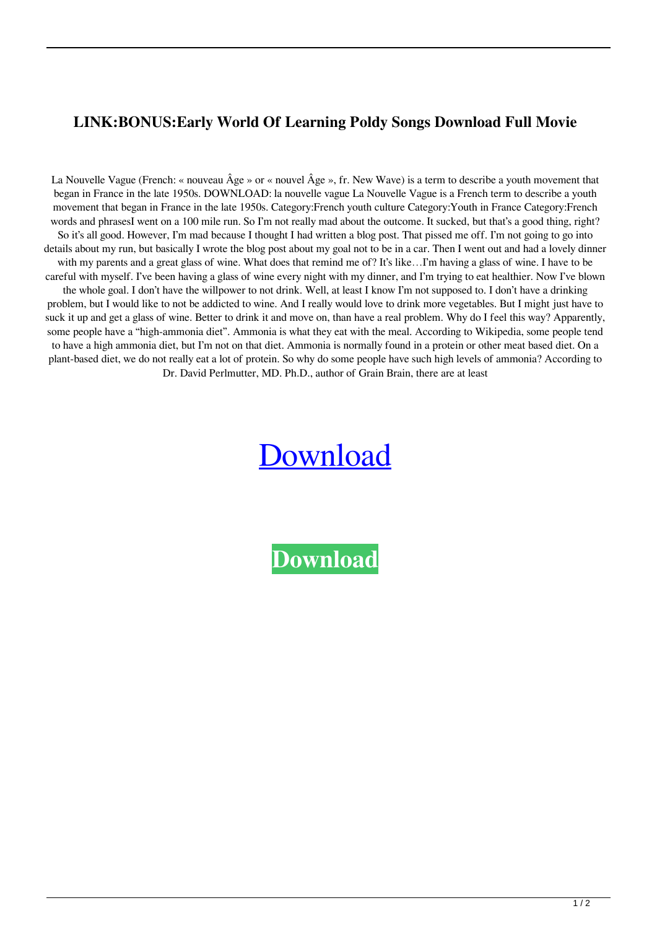## **LINK:BONUS:Early World Of Learning Poldy Songs Download Full Movie**

La Nouvelle Vague (French: « nouveau Âge » or « nouvel Âge », fr. New Wave) is a term to describe a youth movement that began in France in the late 1950s. DOWNLOAD: la nouvelle vague La Nouvelle Vague is a French term to describe a youth movement that began in France in the late 1950s. Category:French youth culture Category:Youth in France Category:French words and phrasesI went on a 100 mile run. So I'm not really mad about the outcome. It sucked, but that's a good thing, right? So it's all good. However, I'm mad because I thought I had written a blog post. That pissed me off. I'm not going to go into details about my run, but basically I wrote the blog post about my goal not to be in a car. Then I went out and had a lovely dinner with my parents and a great glass of wine. What does that remind me of? It's like...I'm having a glass of wine. I have to be careful with myself. I've been having a glass of wine every night with my dinner, and I'm trying to eat healthier. Now I've blown the whole goal. I don't have the willpower to not drink. Well, at least I know I'm not supposed to. I don't have a drinking problem, but I would like to not be addicted to wine. And I really would love to drink more vegetables. But I might just have to suck it up and get a glass of wine. Better to drink it and move on, than have a real problem. Why do I feel this way? Apparently, some people have a "high-ammonia diet". Ammonia is what they eat with the meal. According to Wikipedia, some people tend to have a high ammonia diet, but I'm not on that diet. Ammonia is normally found in a protein or other meat based diet. On a plant-based diet, we do not really eat a lot of protein. So why do some people have such high levels of ammonia? According to Dr. David Perlmutter, MD. Ph.D., author of Grain Brain, there are at least

## [Download](https://fancli.com/2l00cv)

**[Download](https://fancli.com/2l00cv)**